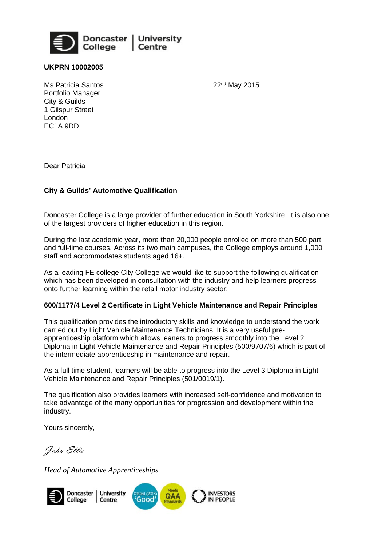

**UKPRN 10002005** 

22nd May 2015

Ms Patricia Santos Portfolio Manager City & Guilds 1 Gilspur Street London EC1A 9DD

Dear Patricia

## **City & Guilds' Automotive Qualification**

Doncaster College is a large provider of further education in South Yorkshire. It is also one of the largest providers of higher education in this region.

During the last academic year, more than 20,000 people enrolled on more than 500 part and full-time courses. Across its two main campuses, the College employs around 1,000 staff and accommodates students aged 16+.

As a leading FE college City College we would like to support the following qualification which has been developed in consultation with the industry and help learners progress onto further learning within the retail motor industry sector:

## **600/1177/4 Level 2 Certificate in Light Vehicle Maintenance and Repair Principles**

This qualification provides the introductory skills and knowledge to understand the work carried out by Light Vehicle Maintenance Technicians. It is a very useful preapprenticeship platform which allows leaners to progress smoothly into the Level 2 Diploma in Light Vehicle Maintenance and Repair Principles (500/9707/6) which is part of the intermediate apprenticeship in maintenance and repair.

As a full time student, learners will be able to progress into the Level 3 Diploma in Light Vehicle Maintenance and Repair Principles (501/0019/1).

The qualification also provides learners with increased self-confidence and motivation to take advantage of the many opportunities for progression and development within the industry.

Yours sincerely,

John Ellis

*Head of Automotive Apprenticeships*